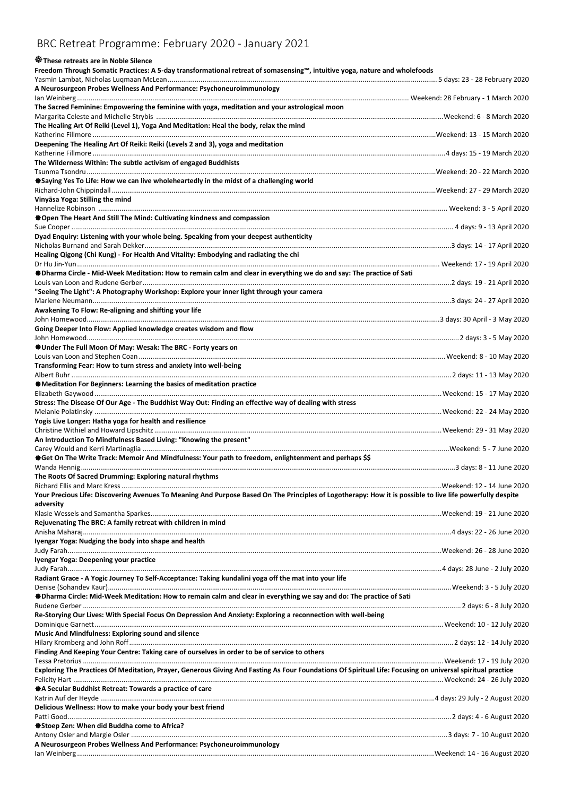## BRC Retreat Programme: February 2020 - January 2021

## **These retreats are in Noble Silence**

**Freedom Through Somatic Practices: A 5-day transformational retreat of somasensing™, intuitive yoga, nature and wholefoods**

| A Neurosurgeon Probes Wellness And Performance: Psychoneuroimmunology                                                                                      |  |
|------------------------------------------------------------------------------------------------------------------------------------------------------------|--|
| The Sacred Feminine: Empowering the feminine with yoga, meditation and your astrological moon                                                              |  |
|                                                                                                                                                            |  |
| The Healing Art Of Reiki (Level 1), Yoga And Meditation: Heal the body, relax the mind                                                                     |  |
|                                                                                                                                                            |  |
| Deepening The Healing Art Of Reiki: Reiki (Levels 2 and 3), yoga and meditation                                                                            |  |
| The Wilderness Within: The subtle activism of engaged Buddhists                                                                                            |  |
|                                                                                                                                                            |  |
| *Saying Yes To Life: How we can live wholeheartedly in the midst of a challenging world                                                                    |  |
|                                                                                                                                                            |  |
| Vinyāsa Yoga: Stilling the mind                                                                                                                            |  |
| <b>Communist Proper The Heart And Still The Mind: Cultivating kindness and compassion</b>                                                                  |  |
|                                                                                                                                                            |  |
| Dyad Enquiry: Listening with your whole being. Speaking from your deepest authenticity                                                                     |  |
|                                                                                                                                                            |  |
| Healing Qigong (Chi Kung) - For Health And Vitality: Embodying and radiating the chi                                                                       |  |
| <b><math>\$</math>Dharma Circle - Mid-Week Meditation: How to remain calm and clear in everything we do and say: The practice of Sati</b>                  |  |
|                                                                                                                                                            |  |
| "Seeing The Light": A Photography Workshop: Explore your inner light through your camera                                                                   |  |
|                                                                                                                                                            |  |
| Awakening To Flow: Re-aligning and shifting your life                                                                                                      |  |
| Going Deeper Into Flow: Applied knowledge creates wisdom and flow                                                                                          |  |
|                                                                                                                                                            |  |
| ⊕Under The Full Moon Of May: Wesak: The BRC - Forty years on                                                                                               |  |
|                                                                                                                                                            |  |
| Transforming Fear: How to turn stress and anxiety into well-being                                                                                          |  |
| ◆Meditation For Beginners: Learning the basics of meditation practice                                                                                      |  |
|                                                                                                                                                            |  |
| Stress: The Disease Of Our Age - The Buddhist Way Out: Finding an effective way of dealing with stress                                                     |  |
|                                                                                                                                                            |  |
| Yogis Live Longer: Hatha yoga for health and resilience                                                                                                    |  |
| An Introduction To Mindfulness Based Living: "Knowing the present"                                                                                         |  |
|                                                                                                                                                            |  |
| *Get On The Write Track: Memoir And Mindfulness: Your path to freedom, enlightenment and perhaps \$\$                                                      |  |
|                                                                                                                                                            |  |
| The Roots Of Sacred Drumming: Exploring natural rhythms                                                                                                    |  |
| Your Precious Life: Discovering Avenues To Meaning And Purpose Based On The Principles of Logotherapy: How it is possible to live life powerfully despite  |  |
| adversity                                                                                                                                                  |  |
|                                                                                                                                                            |  |
| Rejuvenating The BRC: A family retreat with children in mind                                                                                               |  |
|                                                                                                                                                            |  |
| Ivengar Yoga: Nudging the body into shape and health                                                                                                       |  |
| Iyengar Yoga: Deepening your practice                                                                                                                      |  |
|                                                                                                                                                            |  |
| Radiant Grace - A Yogic Journey To Self-Acceptance: Taking kundalini yoga off the mat into your life                                                       |  |
|                                                                                                                                                            |  |
| <b>*Dharma Circle: Mid-Week Meditation: How to remain calm and clear in everything we say and do: The practice of Sati</b>                                 |  |
| Re-Storying Our Lives: With Special Focus On Depression And Anxiety: Exploring a reconnection with well-being                                              |  |
|                                                                                                                                                            |  |
| Music And Mindfulness: Exploring sound and silence                                                                                                         |  |
|                                                                                                                                                            |  |
| Finding And Keeping Your Centre: Taking care of ourselves in order to be of service to others                                                              |  |
| Exploring The Practices Of Meditation, Prayer, Generous Giving And Fasting As Four Foundations Of Spiritual Life: Focusing on universal spiritual practice |  |
|                                                                                                                                                            |  |
| ◆ A Secular Buddhist Retreat: Towards a practice of care                                                                                                   |  |
|                                                                                                                                                            |  |
| Delicious Wellness: How to make your body your best friend                                                                                                 |  |
| Stoep Zen: When did Buddha come to Africa?                                                                                                                 |  |
|                                                                                                                                                            |  |
| A Neurosurgeon Probes Wellness And Performance: Psychoneuroimmunology                                                                                      |  |
|                                                                                                                                                            |  |